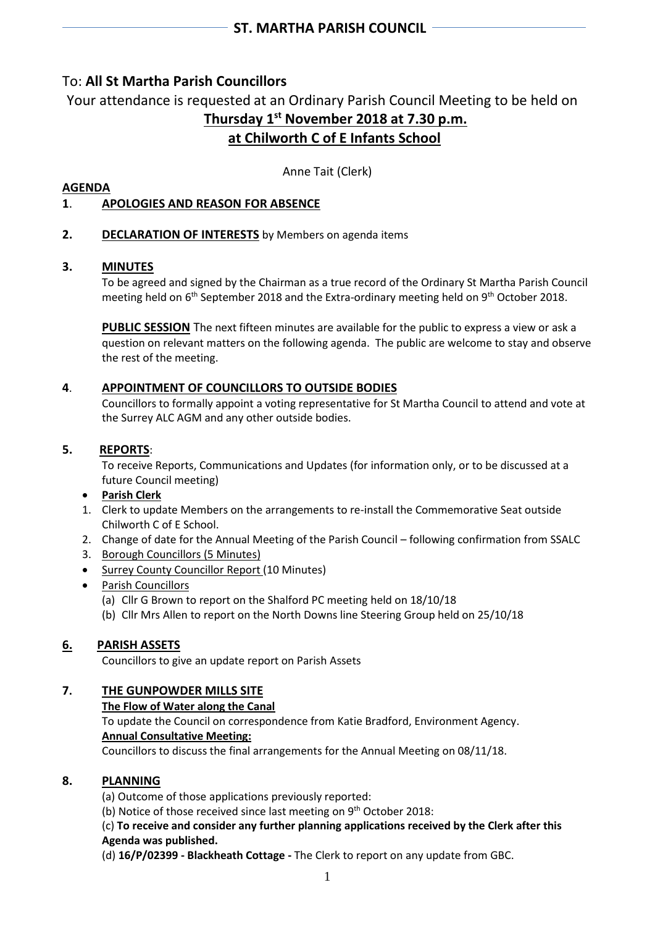# To: **All St Martha Parish Councillors**

Your attendance is requested at an Ordinary Parish Council Meeting to be held on **Thursday 1 st November 2018 at 7.30 p.m. at Chilworth C of E Infants School**

Anne Tait (Clerk)

# **AGENDA**

# **1**. **APOLOGIES AND REASON FOR ABSENCE**

# **2. DECLARATION OF INTERESTS** by Members on agenda items

## **3. MINUTES**

To be agreed and signed by the Chairman as a true record of the Ordinary St Martha Parish Council meeting held on 6<sup>th</sup> September 2018 and the Extra-ordinary meeting held on 9<sup>th</sup> October 2018.

**PUBLIC SESSION** The next fifteen minutes are available for the public to express a view or ask a question on relevant matters on the following agenda. The public are welcome to stay and observe the rest of the meeting.

## **4**. **APPOINTMENT OF COUNCILLORS TO OUTSIDE BODIES**

Councillors to formally appoint a voting representative for St Martha Council to attend and vote at the Surrey ALC AGM and any other outside bodies.

## **5. REPORTS**:

To receive Reports, Communications and Updates (for information only, or to be discussed at a future Council meeting)

- **Parish Clerk**
- 1. Clerk to update Members on the arrangements to re-install the Commemorative Seat outside Chilworth C of E School.
- 2. Change of date for the Annual Meeting of the Parish Council following confirmation from SSALC
- 3. Borough Councillors (5 Minutes)
- Surrey County Councillor Report (10 Minutes)
- Parish Councillors
	- (a) Cllr G Brown to report on the Shalford PC meeting held on 18/10/18
	- (b) Cllr Mrs Allen to report on the North Downs line Steering Group held on 25/10/18

# **6. PARISH ASSETS**

Councillors to give an update report on Parish Assets

# **7. THE GUNPOWDER MILLS SITE**

#### **The Flow of Water along the Canal**

To update the Council on correspondence from Katie Bradford, Environment Agency. **Annual Consultative Meeting:** 

Councillors to discuss the final arrangements for the Annual Meeting on 08/11/18.

#### **8. PLANNING**

(a) Outcome of those applications previously reported:

(b) Notice of those received since last meeting on 9<sup>th</sup> October 2018:

## (c) **To receive and consider any further planning applications received by the Clerk after this Agenda was published.**

(d) **16/P/02399 - Blackheath Cottage -** The Clerk to report on any update from GBC.